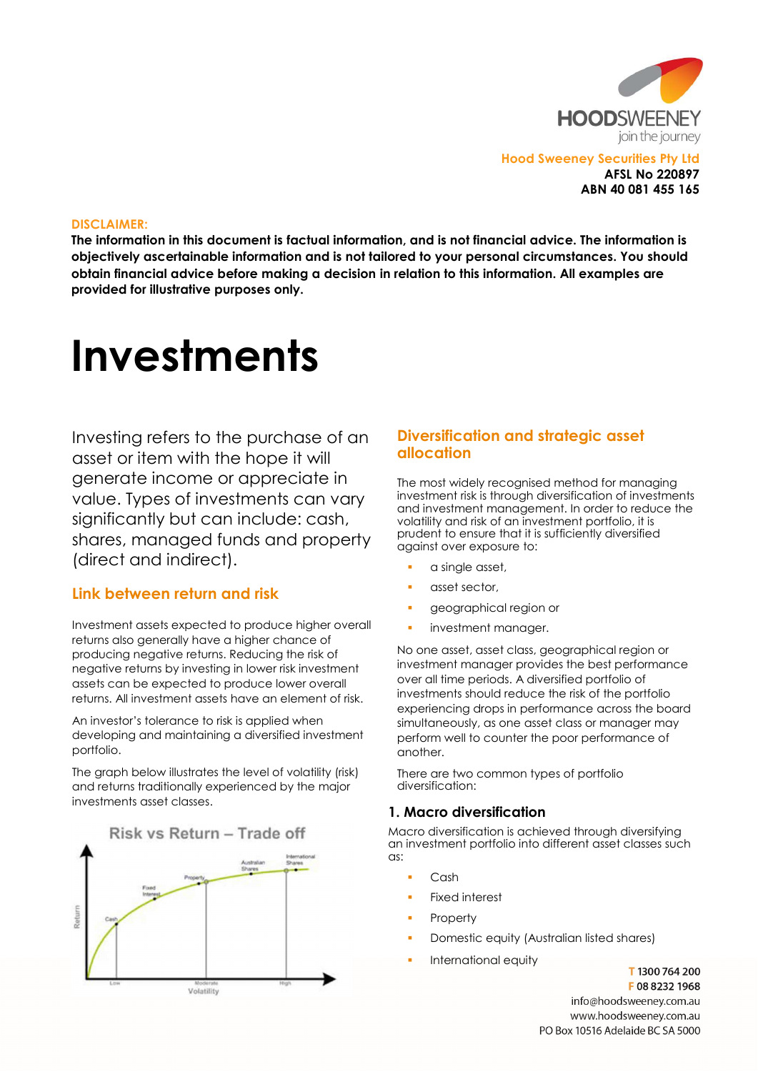

Hood Sweeney Securities Pty Ltd AFSL No 220897 ABN 40 081 455 165

#### DISCLAIMER:

The information in this document is factual information, and is not financial advice. The information is objectively ascertainable information and is not tailored to your personal circumstances. You should obtain financial advice before making a decision in relation to this information. All examples are provided for illustrative purposes only.

# **Investments**

Investing refers to the purchase of an asset or item with the hope it will generate income or appreciate in value. Types of investments can vary significantly but can include: cash, shares, managed funds and property (direct and indirect).

## Link between return and risk

Investment assets expected to produce higher overall returns also generally have a higher chance of producing negative returns. Reducing the risk of negative returns by investing in lower risk investment assets can be expected to produce lower overall returns. All investment assets have an element of risk.

An investor's tolerance to risk is applied when developing and maintaining a diversified investment portfolio.

The graph below illustrates the level of volatility (risk) and returns traditionally experienced by the major investments asset classes.



# Diversification and strategic asset allocation

The most widely recognised method for managing investment risk is through diversification of investments and investment management. In order to reduce the volatility and risk of an investment portfolio, it is prudent to ensure that it is sufficiently diversified against over exposure to:

- a single asset,
- asset sector,
- geographical region or
- investment manager.

No one asset, asset class, geographical region or investment manager provides the best performance over all time periods. A diversified portfolio of investments should reduce the risk of the portfolio experiencing drops in performance across the board simultaneously, as one asset class or manager may perform well to counter the poor performance of another.

There are two common types of portfolio diversification:

## 1. Macro diversification

Macro diversification is achieved through diversifying an investment portfolio into different asset classes such as:

- Cash
- Fixed interest
- **Property**
- Domestic equity (Australian listed shares)
- International equity

T1300764200 F0882321968 info@hoodsweenev.com.au www.hoodsweeney.com.au PO Box 10516 Adelaide BC SA 5000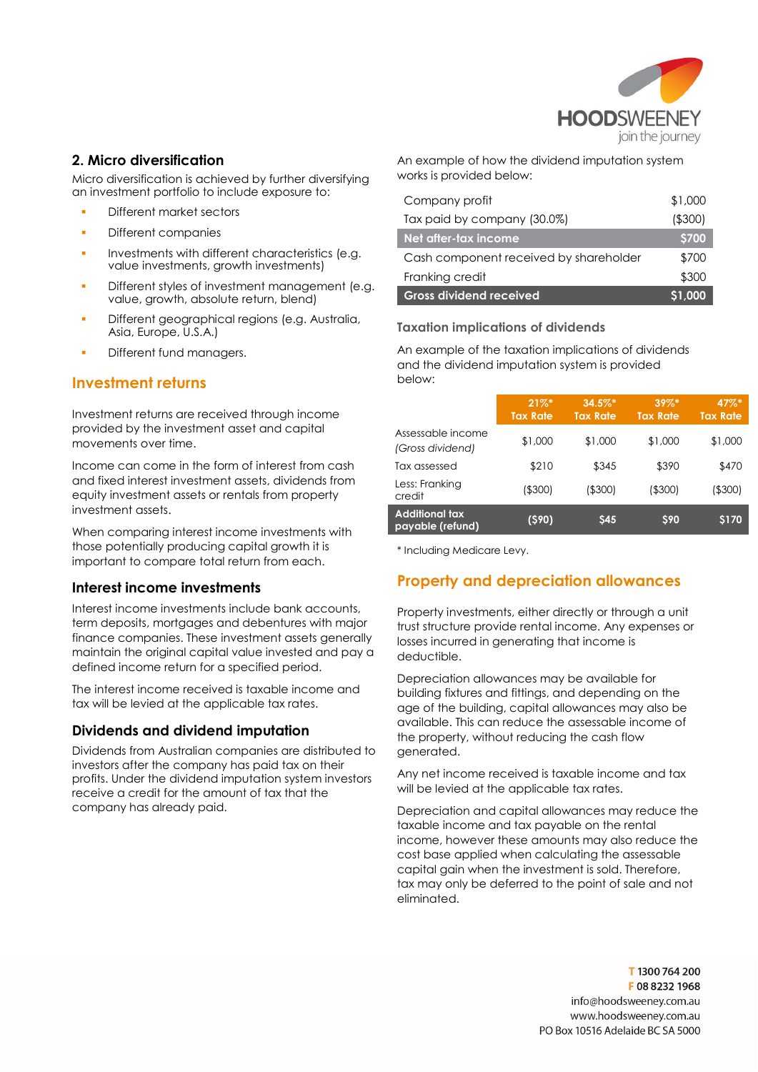

## 2. Micro diversification

Micro diversification is achieved by further diversifying an investment portfolio to include exposure to:

- Different market sectors
- **Different companies**
- Investments with different characteristics (e.g. value investments, growth investments)
- Different styles of investment management (e.g. value, growth, absolute return, blend)
- Different geographical regions (e.g. Australia, Asia, Europe, U.S.A.)
- Different fund managers.

# Investment returns

Investment returns are received through income provided by the investment asset and capital movements over time.

Income can come in the form of interest from cash and fixed interest investment assets, dividends from equity investment assets or rentals from property investment assets.

When comparing interest income investments with those potentially producing capital growth it is important to compare total return from each.

#### Interest income investments

Interest income investments include bank accounts, term deposits, mortgages and debentures with major finance companies. These investment assets generally maintain the original capital value invested and pay a defined income return for a specified period.

The interest income received is taxable income and tax will be levied at the applicable tax rates.

## Dividends and dividend imputation

Dividends from Australian companies are distributed to investors after the company has paid tax on their profits. Under the dividend imputation system investors receive a credit for the amount of tax that the company has already paid.

An example of how the dividend imputation system works is provided below:

| <b>Gross dividend received</b>         | S1.000      |
|----------------------------------------|-------------|
| Franking credit                        | \$300       |
| Cash component received by shareholder | \$700       |
| Net after-tax income                   | <b>S700</b> |
| Tax paid by company (30.0%)            | ( \$300)    |
| Company profit                         | \$1,000     |

### Taxation implications of dividends

An example of the taxation implications of dividends and the dividend imputation system is provided below:

|                                       | $21\%$ *<br><b>Tax Rate</b> | $34.5\%$ *<br><b>Tax Rate</b> | $39\%$ *<br><b>Tax Rate</b> | 47%*<br><b>Tax Rate</b> |
|---------------------------------------|-----------------------------|-------------------------------|-----------------------------|-------------------------|
| Assessable income<br>(Gross dividend) | \$1,000                     | \$1,000                       | \$1,000                     | \$1,000                 |
| Tax assessed                          | \$210                       | \$345                         | \$390                       | \$470                   |
| Less: Franking<br>credit              | (\$300)                     | ( \$300)                      | ( \$300)                    | ( \$300)                |
| Additional tax<br>payable (refund)    | $($ \$90)                   | \$45                          | \$90                        | \$170                   |

\* Including Medicare Levy.

# Property and depreciation allowances

Property investments, either directly or through a unit trust structure provide rental income. Any expenses or losses incurred in generating that income is deductible.

Depreciation allowances may be available for building fixtures and fittings, and depending on the age of the building, capital allowances may also be available. This can reduce the assessable income of the property, without reducing the cash flow generated.

Any net income received is taxable income and tax will be levied at the applicable tax rates.

Depreciation and capital allowances may reduce the taxable income and tax payable on the rental income, however these amounts may also reduce the cost base applied when calculating the assessable capital gain when the investment is sold. Therefore, tax may only be deferred to the point of sale and not eliminated.

> T1300764200 F0882321968 info@hoodsweenev.com.au www.hoodsweeney.com.au PO Box 10516 Adelaide BC SA 5000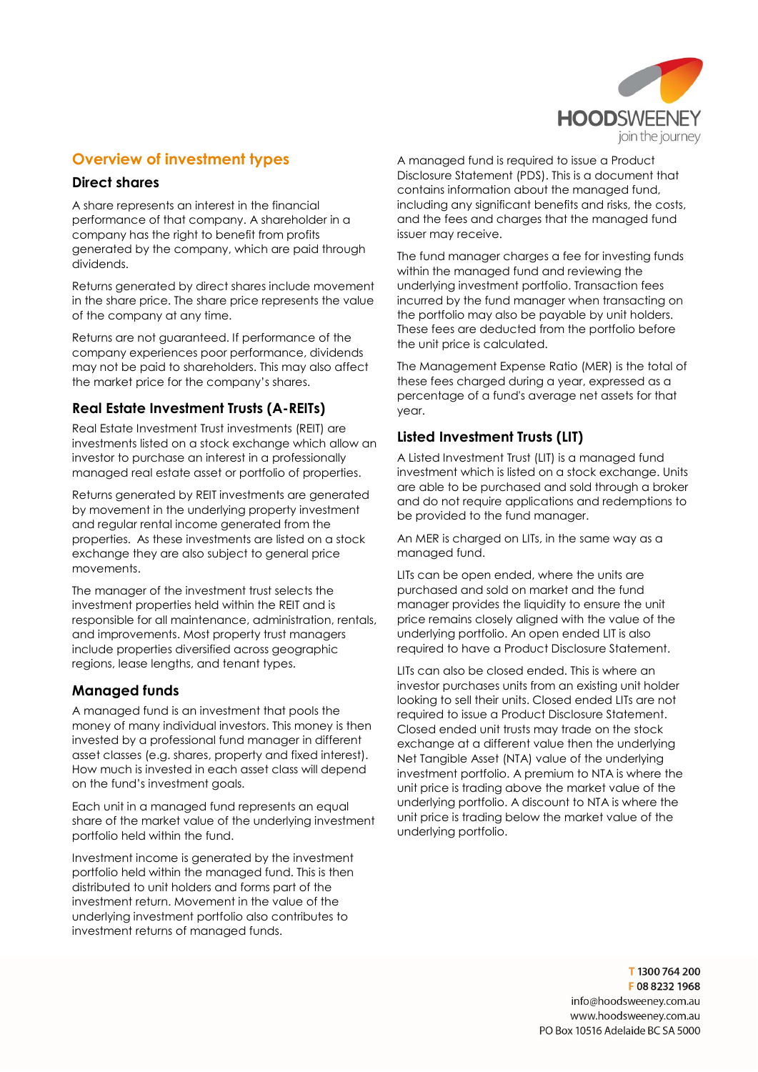

# Overview of investment types

## Direct shares

A share represents an interest in the financial performance of that company. A shareholder in a company has the right to benefit from profits generated by the company, which are paid through dividends.

Returns generated by direct shares include movement in the share price. The share price represents the value of the company at any time.

Returns are not guaranteed. If performance of the company experiences poor performance, dividends may not be paid to shareholders. This may also affect the market price for the company's shares.

## Real Estate Investment Trusts (A-REITs)

Real Estate Investment Trust investments (REIT) are investments listed on a stock exchange which allow an investor to purchase an interest in a professionally managed real estate asset or portfolio of properties.

Returns generated by REIT investments are generated by movement in the underlying property investment and regular rental income generated from the properties. As these investments are listed on a stock exchange they are also subject to general price movements.

The manager of the investment trust selects the investment properties held within the REIT and is responsible for all maintenance, administration, rentals, and improvements. Most property trust managers include properties diversified across geographic regions, lease lengths, and tenant types.

## Managed funds

A managed fund is an investment that pools the money of many individual investors. This money is then invested by a professional fund manager in different asset classes (e.g. shares, property and fixed interest). How much is invested in each asset class will depend on the fund's investment goals.

Each unit in a managed fund represents an equal share of the market value of the underlying investment portfolio held within the fund.

Investment income is generated by the investment portfolio held within the managed fund. This is then distributed to unit holders and forms part of the investment return. Movement in the value of the underlying investment portfolio also contributes to investment returns of managed funds.

A managed fund is required to issue a Product Disclosure Statement (PDS). This is a document that contains information about the managed fund, including any significant benefits and risks, the costs, and the fees and charges that the managed fund issuer may receive.

The fund manager charges a fee for investing funds within the managed fund and reviewing the underlying investment portfolio. Transaction fees incurred by the fund manager when transacting on the portfolio may also be payable by unit holders. These fees are deducted from the portfolio before the unit price is calculated.

The Management Expense Ratio (MER) is the total of these fees charged during a year, expressed as a percentage of a fund's average net assets for that year.

# Listed Investment Trusts (LIT)

A Listed Investment Trust (LIT) is a managed fund investment which is listed on a stock exchange. Units are able to be purchased and sold through a broker and do not require applications and redemptions to be provided to the fund manager.

An MER is charged on LITs, in the same way as a managed fund.

LITs can be open ended, where the units are purchased and sold on market and the fund manager provides the liquidity to ensure the unit price remains closely aligned with the value of the underlying portfolio. An open ended LIT is also required to have a Product Disclosure Statement.

LITs can also be closed ended. This is where an investor purchases units from an existing unit holder looking to sell their units. Closed ended LITs are not required to issue a Product Disclosure Statement. Closed ended unit trusts may trade on the stock exchange at a different value then the underlying Net Tangible Asset (NTA) value of the underlying investment portfolio. A premium to NTA is where the unit price is trading above the market value of the underlying portfolio. A discount to NTA is where the unit price is trading below the market value of the underlying portfolio.